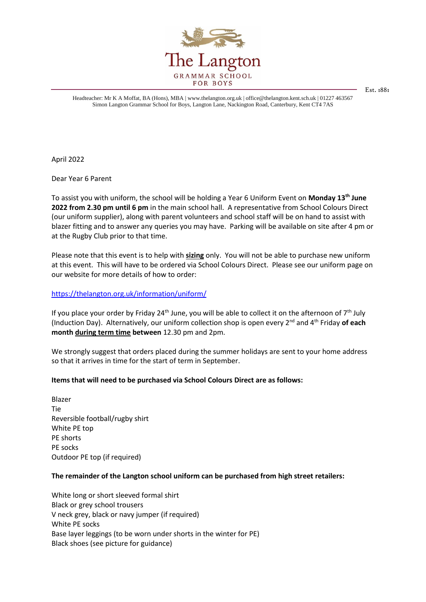

Headteacher: Mr K A Moffat, BA (Hons), MBA | www.thelangton.org.uk | office@thelangton.kent.sch.uk | 01227 463567 Simon Langton Grammar School for Boys, Langton Lane, Nackington Road, Canterbury, Kent CT4 7AS

Est. 1881

April 2022

Dear Year 6 Parent

To assist you with uniform, the school will be holding a Year 6 Uniform Event on **Monday 13th June 2022 from 2.30 pm until 6 pm** in the main school hall. A representative from School Colours Direct (our uniform supplier), along with parent volunteers and school staff will be on hand to assist with blazer fitting and to answer any queries you may have. Parking will be available on site after 4 pm or at the Rugby Club prior to that time.

Please note that this event is to help with **sizing** only. You will not be able to purchase new uniform at this event. This will have to be ordered via School Colours Direct. Please see our uniform page on our website for more details of how to order:

<https://thelangton.org.uk/information/uniform/>

If you place your order by Friday 24<sup>th</sup> June, you will be able to collect it on the afternoon of  $7<sup>th</sup>$  July (Induction Day). Alternatively, our uniform collection shop is open every 2nd and 4th Friday **of each month during term time between** 12.30 pm and 2pm.

We strongly suggest that orders placed during the summer holidays are sent to your home address so that it arrives in time for the start of term in September.

## **Items that will need to be purchased via School Colours Direct are as follows:**

Blazer Tie Reversible football/rugby shirt White PE top PE shorts PE socks Outdoor PE top (if required)

## **The remainder of the Langton school uniform can be purchased from high street retailers:**

White long or short sleeved formal shirt Black or grey school trousers V neck grey, black or navy jumper (if required) White PE socks Base layer leggings (to be worn under shorts in the winter for PE) Black shoes (see picture for guidance)